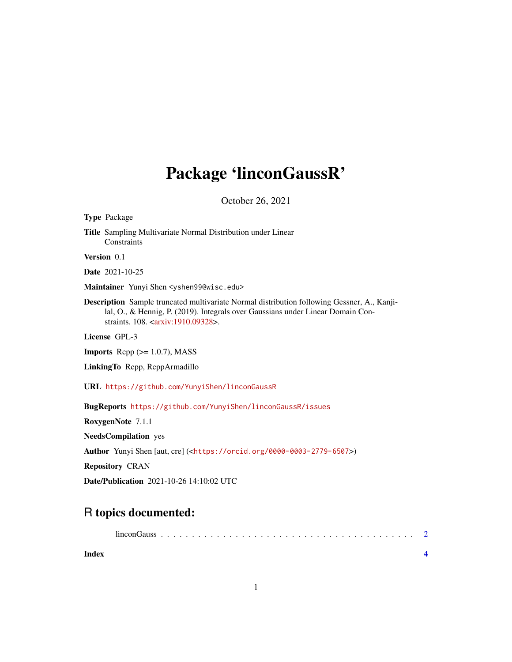## Package 'linconGaussR'

October 26, 2021

| <b>Type Package</b>                                                                                                                                                                                                                            |
|------------------------------------------------------------------------------------------------------------------------------------------------------------------------------------------------------------------------------------------------|
| <b>Title</b> Sampling Multivariate Normal Distribution under Linear<br>Constraints                                                                                                                                                             |
| Version 0.1                                                                                                                                                                                                                                    |
| <b>Date</b> 2021-10-25                                                                                                                                                                                                                         |
| Maintainer Yunyi Shen <yshen99@wisc.edu></yshen99@wisc.edu>                                                                                                                                                                                    |
| <b>Description</b> Sample truncated multivariate Normal distribution following Gessner, A., Kanji-<br>lal, O., & Hennig, P. (2019). Integrals over Gaussians under Linear Domain Con-<br>straints. 108. <arxiv:1910.09328>.</arxiv:1910.09328> |
| License GPL-3                                                                                                                                                                                                                                  |
| <b>Imports</b> Repp $(>= 1.0.7)$ , MASS                                                                                                                                                                                                        |
| LinkingTo Repp, ReppArmadillo                                                                                                                                                                                                                  |
| URL https://github.com/YunyiShen/linconGaussR                                                                                                                                                                                                  |
| BugReports https://github.com/YunyiShen/linconGaussR/issues                                                                                                                                                                                    |
| RoxygenNote 7.1.1                                                                                                                                                                                                                              |
| <b>NeedsCompilation</b> yes                                                                                                                                                                                                                    |
| Author Yunyi Shen [aut, cre] ( <https: 0000-0003-2779-6507="" orcid.org="">)</https:>                                                                                                                                                          |
| <b>Repository CRAN</b>                                                                                                                                                                                                                         |
|                                                                                                                                                                                                                                                |

Date/Publication 2021-10-26 14:10:02 UTC

### R topics documented:

|--|--|--|--|--|--|--|--|--|--|--|--|--|--|--|--|--|--|--|--|--|--|--|--|--|--|--|--|--|--|--|--|--|--|--|--|--|--|

| <b>Index</b> |  |
|--------------|--|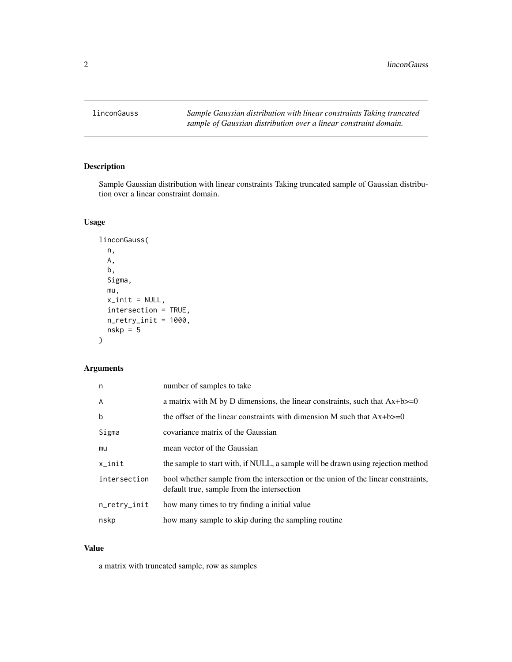<span id="page-1-0"></span>linconGauss *Sample Gaussian distribution with linear constraints Taking truncated sample of Gaussian distribution over a linear constraint domain.*

#### Description

Sample Gaussian distribution with linear constraints Taking truncated sample of Gaussian distribution over a linear constraint domain.

#### Usage

```
linconGauss(
  n,
 A,
 b,
  Sigma,
 mu,
 x\_init = NULL,intersection = TRUE,
 n_retry_init = 1000,
  nskp = 5)
```
#### Arguments

| n            | number of samples to take                                                                                                       |
|--------------|---------------------------------------------------------------------------------------------------------------------------------|
| A            | a matrix with M by D dimensions, the linear constraints, such that $Ax + b \ge 0$                                               |
| $\mathbf b$  | the offset of the linear constraints with dimension M such that $Ax + b \ge 0$                                                  |
| Sigma        | covariance matrix of the Gaussian                                                                                               |
| mu           | mean vector of the Gaussian                                                                                                     |
| $x$ _init    | the sample to start with, if NULL, a sample will be drawn using rejection method                                                |
| intersection | bool whether sample from the intersection or the union of the linear constraints,<br>default true, sample from the intersection |
| n_retry_init | how many times to try finding a initial value                                                                                   |
| nskp         | how many sample to skip during the sampling routine                                                                             |

#### Value

a matrix with truncated sample, row as samples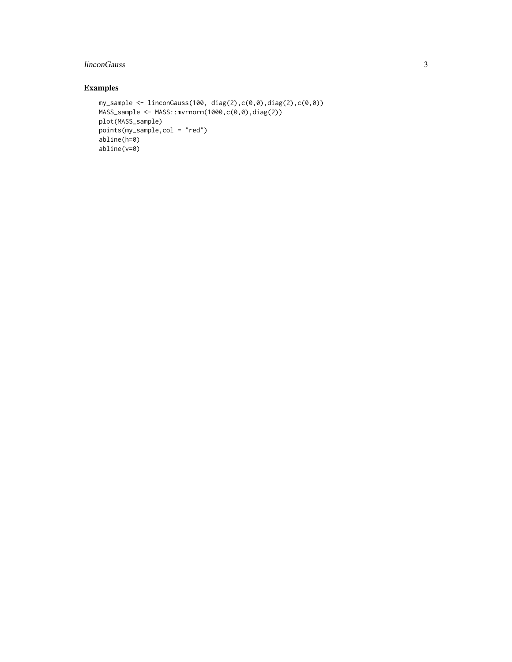#### linconGauss 3

#### Examples

```
my_sample <- linconGauss(100, diag(2),c(0,0),diag(2),c(0,0))
MASS_sample <- MASS::mvrnorm(1000,c(0,0),diag(2))
plot(MASS_sample)
points(my_sample,col = "red")
abline(h=0)
abline(v=0)
```